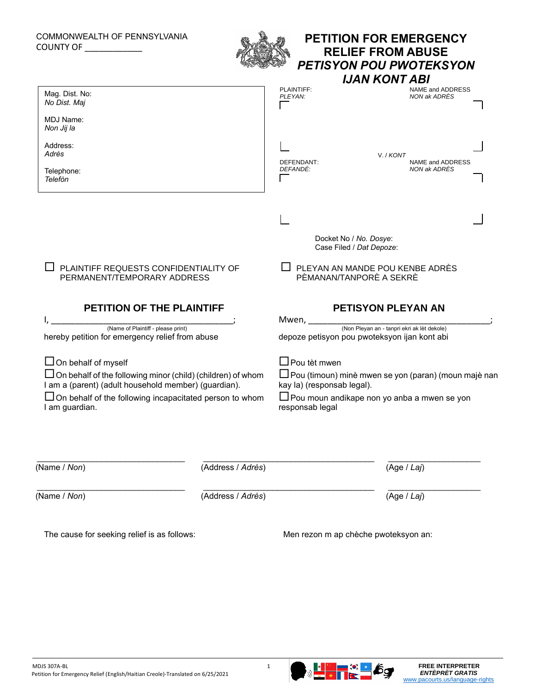## COMMONWEALTH OF PENNSYLVANIA COUNTY OF \_\_\_\_\_\_\_\_\_\_\_\_



## **PETITION FOR EMERGENCY RELIEF FROM ABUSE**  *PETISYON POU PWOTEKSYON*

|                                                                                                                            |                            | <b>IJAN KONT ABI</b>                                                                              |  |
|----------------------------------------------------------------------------------------------------------------------------|----------------------------|---------------------------------------------------------------------------------------------------|--|
| Mag. Dist. No:<br>No Dist. Maj                                                                                             | PLAINTIFF:<br>PLEYAN:      | NAME and ADDRESS<br>NON ak ADRÈS                                                                  |  |
| MDJ Name:<br>Non Jij la                                                                                                    |                            |                                                                                                   |  |
| Address:<br>Adrès                                                                                                          | DEFENDANT:                 | V. / KONT<br>NAME and ADDRESS                                                                     |  |
| Telephone:<br>Telefòn                                                                                                      | DEFANDÈ:                   | NON ak ADRÈS                                                                                      |  |
|                                                                                                                            |                            |                                                                                                   |  |
|                                                                                                                            |                            | Docket No / No. Dosye:<br>Case Filed / Dat Depoze:                                                |  |
| PLAINTIFF REQUESTS CONFIDENTIALITY OF<br>PERMANENT/TEMPORARY ADDRESS                                                       |                            | PLEYAN AN MANDE POU KENBE ADRÈS<br>PÈMANAN/TANPORÈ A SEKRÈ                                        |  |
|                                                                                                                            |                            |                                                                                                   |  |
| PETITION OF THE PLAINTIFF                                                                                                  |                            | <b>PETISYON PLEYAN AN</b>                                                                         |  |
| (Name of Plaintiff - please print)<br>hereby petition for emergency relief from abuse                                      |                            | Mwen, (Non Pleyan an - tanpri ekri ak lèt dekole)<br>depoze petisyon pou pwoteksyon ijan kont abi |  |
| $\Box$ On behalf of myself                                                                                                 | $\Box$ Pou tèt mwen        |                                                                                                   |  |
| $\Box$ On behalf of the following minor (child) (children) of whom<br>I am a (parent) (adult household member) (guardian). | kay la) (responsab legal). | □ Pou (timoun) minè mwen se yon (paran) (moun majè nan                                            |  |
| $\Box$ On behalf of the following incapacitated person to whom<br>I am guardian.                                           | responsab legal            | $\square$ Pou moun andikape non yo anba a mwen se yon                                             |  |
|                                                                                                                            |                            |                                                                                                   |  |
| (Name / Non)<br>(Address / Adrès)                                                                                          |                            | (Age / Laj)                                                                                       |  |

The cause for seeking relief is as follows: Men rezon m ap chèche pwoteksyon an: